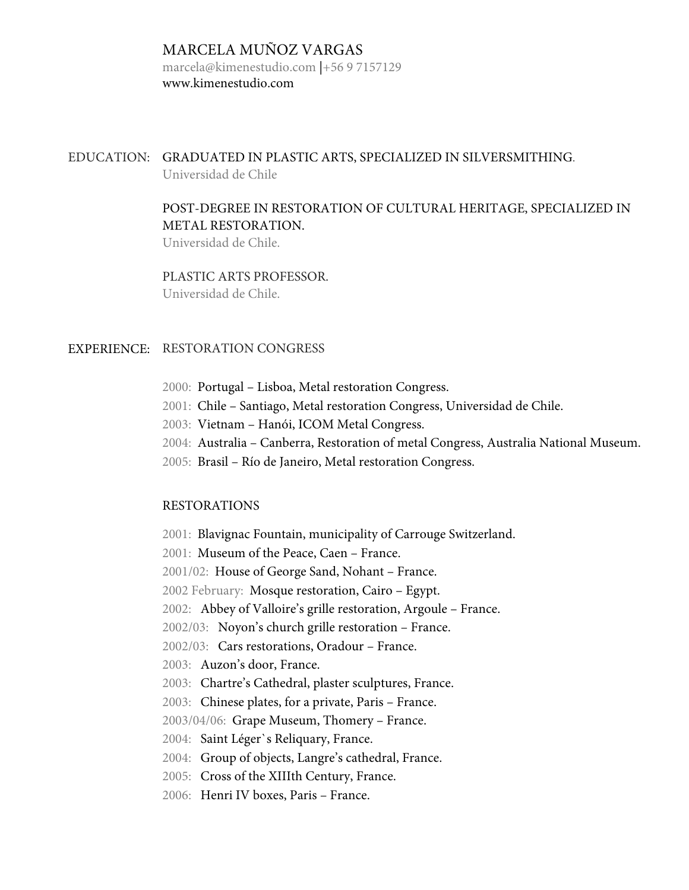### MARCELA MUÑOZ VARGAS

marcela@kimenestudio.com |+56 9 7157129 www.kimenestudio.com

## EDUCATION: GRADUATED IN PLASTIC ARTS, SPECIALIZED IN SILVERSMITHING. Universidad de Chile

## POST-DEGREE IN RESTORATION OF CULTURAL HERITAGE, SPECIALIZED IN METAL RESTORATION.

Universidad de Chile.

# PLASTIC ARTS PROFESSOR.

Universidad de Chile.

# EXPERIENCE: RESTORATION CONGRESS

- 2000: Portugal Lisboa, Metal restoration Congress.
- 2001: Chile Santiago, Metal restoration Congress, Universidad de Chile.
- 2003: Vietnam Hanói, ICOM Metal Congress.
- 2004: Australia Canberra, Restoration of metal Congress, Australia National Museum.
- 2005: Brasil Río de Janeiro, Metal restoration Congress.

### RESTORATIONS

2001: Blavignac Fountain, municipality of Carrouge Switzerland.

2001: Museum of the Peace, Caen – France.

2001/02: House of George Sand, Nohant – France.

2002 February: Mosque restoration, Cairo – Egypt.

2002: Abbey of Valloire's grille restoration, Argoule – France.

2002/03: Noyon's church grille restoration – France.

2002/03: Cars restorations, Oradour – France.

2003: Auzon's door, France.

2003: Chartre's Cathedral, plaster sculptures, France.

2003: Chinese plates, for a private, Paris – France.

2003/04/06: Grape Museum, Thomery – France.

2004: Saint Léger`s Reliquary, France.

2004: Group of objects, Langre's cathedral, France.

2005: Cross of the XIIIth Century, France.

2006: Henri IV boxes, Paris – France.